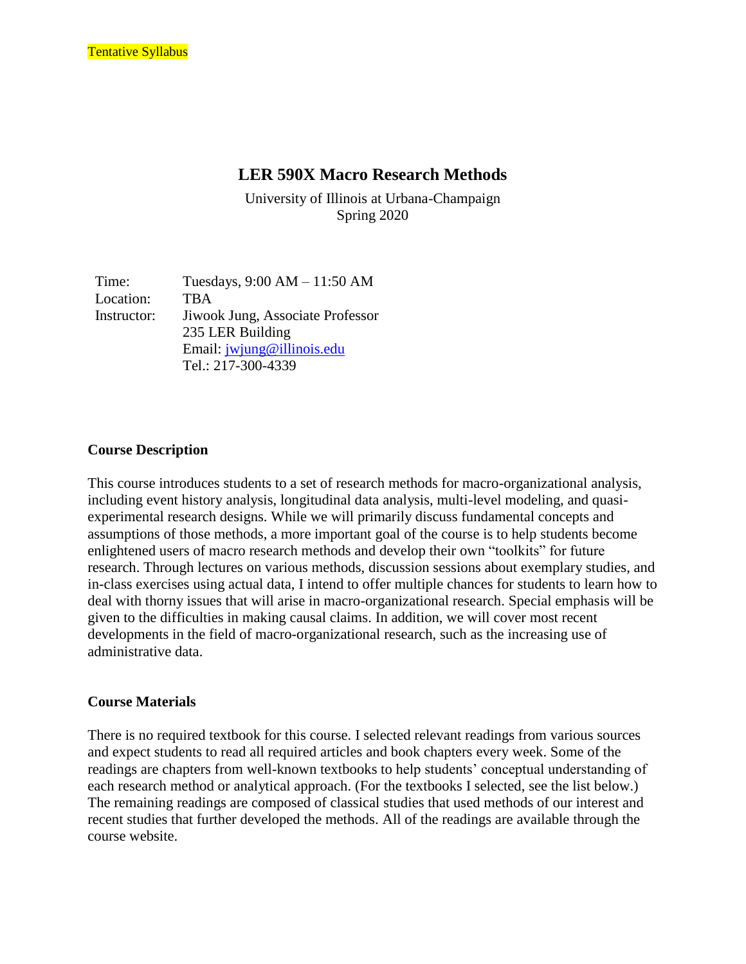# **LER 590X Macro Research Methods**

University of Illinois at Urbana-Champaign Spring 2020

Time: Tuesdays, 9:00 AM – 11:50 AM Location: TBA Instructor: Jiwook Jung, Associate Professor 235 LER Building Email: [jwjung@illinois.edu](mailto:jwjung@illinois.edu) Tel.: 217-300-4339

#### **Course Description**

This course introduces students to a set of research methods for macro-organizational analysis, including event history analysis, longitudinal data analysis, multi-level modeling, and quasiexperimental research designs. While we will primarily discuss fundamental concepts and assumptions of those methods, a more important goal of the course is to help students become enlightened users of macro research methods and develop their own "toolkits" for future research. Through lectures on various methods, discussion sessions about exemplary studies, and in-class exercises using actual data, I intend to offer multiple chances for students to learn how to deal with thorny issues that will arise in macro-organizational research. Special emphasis will be given to the difficulties in making causal claims. In addition, we will cover most recent developments in the field of macro-organizational research, such as the increasing use of administrative data.

#### **Course Materials**

There is no required textbook for this course. I selected relevant readings from various sources and expect students to read all required articles and book chapters every week. Some of the readings are chapters from well-known textbooks to help students' conceptual understanding of each research method or analytical approach. (For the textbooks I selected, see the list below.) The remaining readings are composed of classical studies that used methods of our interest and recent studies that further developed the methods. All of the readings are available through the course website.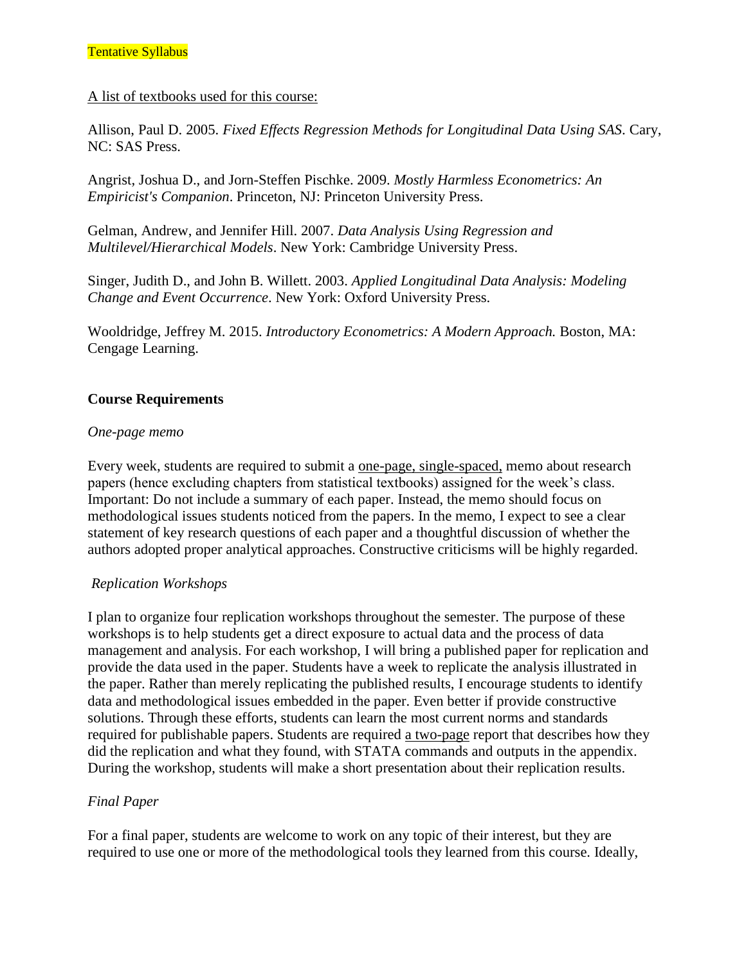#### A list of textbooks used for this course:

Allison, Paul D. 2005. *Fixed Effects Regression Methods for Longitudinal Data Using SAS*. Cary, NC: SAS Press.

Angrist, Joshua D., and Jorn-Steffen Pischke. 2009. *Mostly Harmless Econometrics: An Empiricist's Companion*. Princeton, NJ: Princeton University Press.

Gelman, Andrew, and Jennifer Hill. 2007. *Data Analysis Using Regression and Multilevel/Hierarchical Models*. New York: Cambridge University Press.

Singer, Judith D., and John B. Willett. 2003. *Applied Longitudinal Data Analysis: Modeling Change and Event Occurrence*. New York: Oxford University Press.

Wooldridge, Jeffrey M. 2015. *Introductory Econometrics: A Modern Approach.* Boston, MA: Cengage Learning.

## **Course Requirements**

## *One-page memo*

Every week, students are required to submit a one-page, single-spaced, memo about research papers (hence excluding chapters from statistical textbooks) assigned for the week's class. Important: Do not include a summary of each paper. Instead, the memo should focus on methodological issues students noticed from the papers. In the memo, I expect to see a clear statement of key research questions of each paper and a thoughtful discussion of whether the authors adopted proper analytical approaches. Constructive criticisms will be highly regarded.

## *Replication Workshops*

I plan to organize four replication workshops throughout the semester. The purpose of these workshops is to help students get a direct exposure to actual data and the process of data management and analysis. For each workshop, I will bring a published paper for replication and provide the data used in the paper. Students have a week to replicate the analysis illustrated in the paper. Rather than merely replicating the published results, I encourage students to identify data and methodological issues embedded in the paper. Even better if provide constructive solutions. Through these efforts, students can learn the most current norms and standards required for publishable papers. Students are required a two-page report that describes how they did the replication and what they found, with STATA commands and outputs in the appendix. During the workshop, students will make a short presentation about their replication results.

## *Final Paper*

For a final paper, students are welcome to work on any topic of their interest, but they are required to use one or more of the methodological tools they learned from this course. Ideally,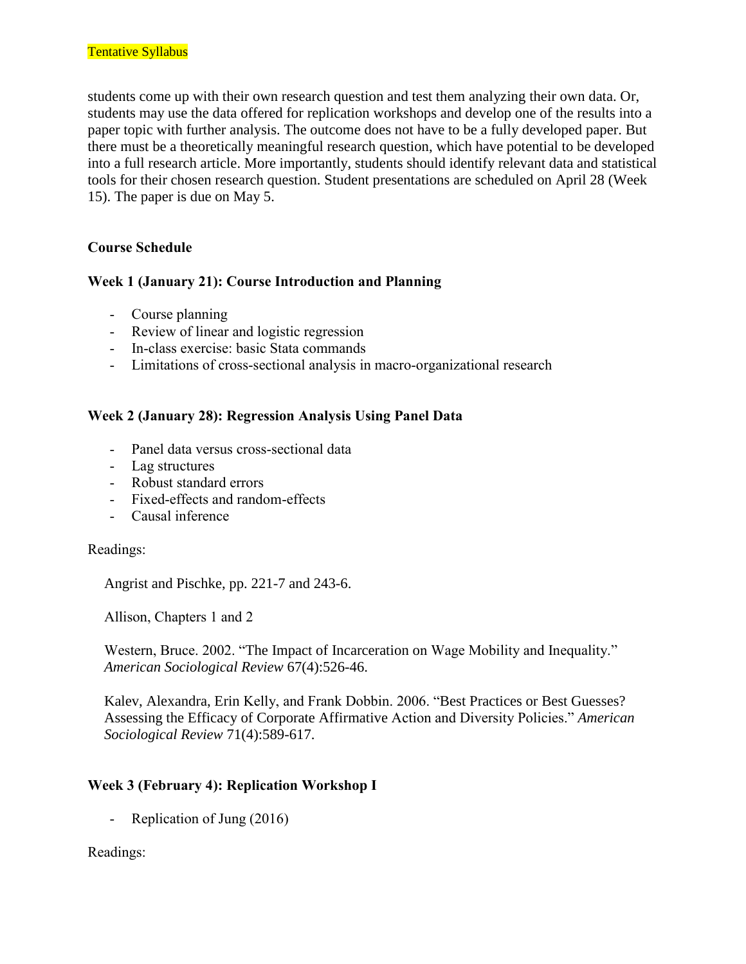students come up with their own research question and test them analyzing their own data. Or, students may use the data offered for replication workshops and develop one of the results into a paper topic with further analysis. The outcome does not have to be a fully developed paper. But there must be a theoretically meaningful research question, which have potential to be developed into a full research article. More importantly, students should identify relevant data and statistical tools for their chosen research question. Student presentations are scheduled on April 28 (Week 15). The paper is due on May 5.

## **Course Schedule**

## **Week 1 (January 21): Course Introduction and Planning**

- Course planning
- Review of linear and logistic regression
- In-class exercise: basic Stata commands
- Limitations of cross-sectional analysis in macro-organizational research

## **Week 2 (January 28): Regression Analysis Using Panel Data**

- Panel data versus cross-sectional data
- Lag structures
- Robust standard errors
- Fixed-effects and random-effects
- Causal inference

## Readings:

Angrist and Pischke, pp. 221-7 and 243-6.

Allison, Chapters 1 and 2

Western, Bruce. 2002. "The Impact of Incarceration on Wage Mobility and Inequality." *American Sociological Review* 67(4):526-46.

Kalev, Alexandra, Erin Kelly, and Frank Dobbin. 2006. "Best Practices or Best Guesses? Assessing the Efficacy of Corporate Affirmative Action and Diversity Policies." *American Sociological Review* 71(4):589-617.

## **Week 3 (February 4): Replication Workshop I**

- Replication of Jung (2016)

Readings: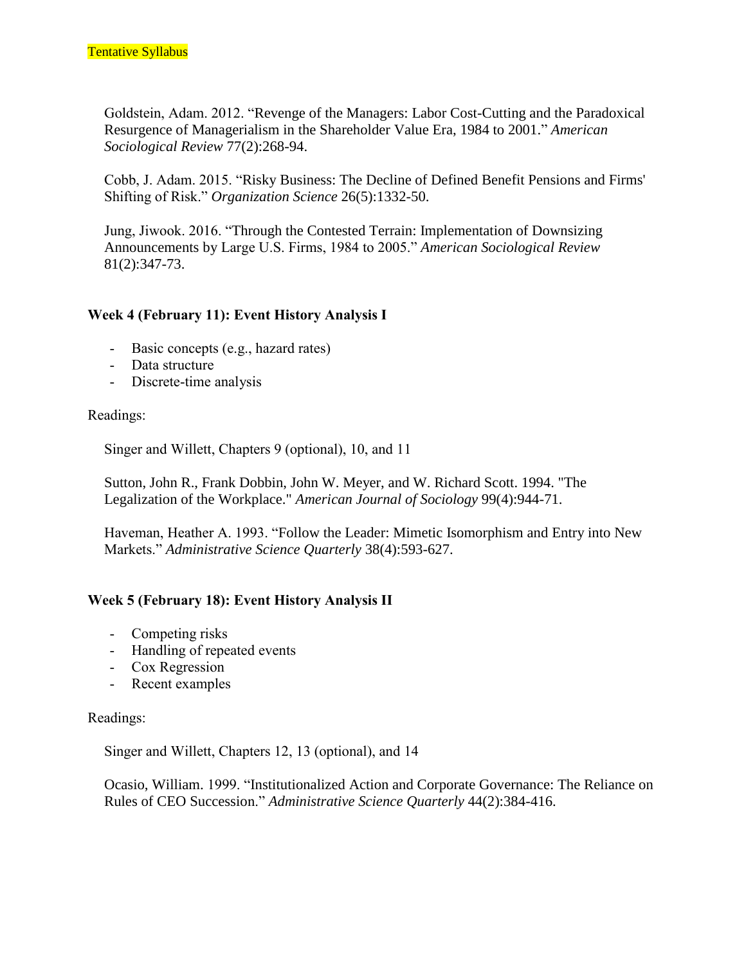Goldstein, Adam. 2012. "Revenge of the Managers: Labor Cost-Cutting and the Paradoxical Resurgence of Managerialism in the Shareholder Value Era, 1984 to 2001." *American Sociological Review* 77(2):268-94.

Cobb, J. Adam. 2015. "Risky Business: The Decline of Defined Benefit Pensions and Firms' Shifting of Risk." *Organization Science* 26(5):1332-50.

Jung, Jiwook. 2016. "Through the Contested Terrain: Implementation of Downsizing Announcements by Large U.S. Firms, 1984 to 2005." *American Sociological Review* 81(2):347-73.

## **Week 4 (February 11): Event History Analysis I**

- Basic concepts (e.g., hazard rates)
- Data structure
- Discrete-time analysis

#### Readings:

Singer and Willett, Chapters 9 (optional), 10, and 11

Sutton, John R., Frank Dobbin, John W. Meyer, and W. Richard Scott. 1994. "The Legalization of the Workplace." *American Journal of Sociology* 99(4):944-71.

Haveman, Heather A. 1993. "Follow the Leader: Mimetic Isomorphism and Entry into New Markets." *Administrative Science Quarterly* 38(4):593-627.

#### **Week 5 (February 18): Event History Analysis II**

- Competing risks
- Handling of repeated events
- Cox Regression
- Recent examples

#### Readings:

Singer and Willett, Chapters 12, 13 (optional), and 14

Ocasio, William. 1999. "Institutionalized Action and Corporate Governance: The Reliance on Rules of CEO Succession." *Administrative Science Quarterly* 44(2):384-416.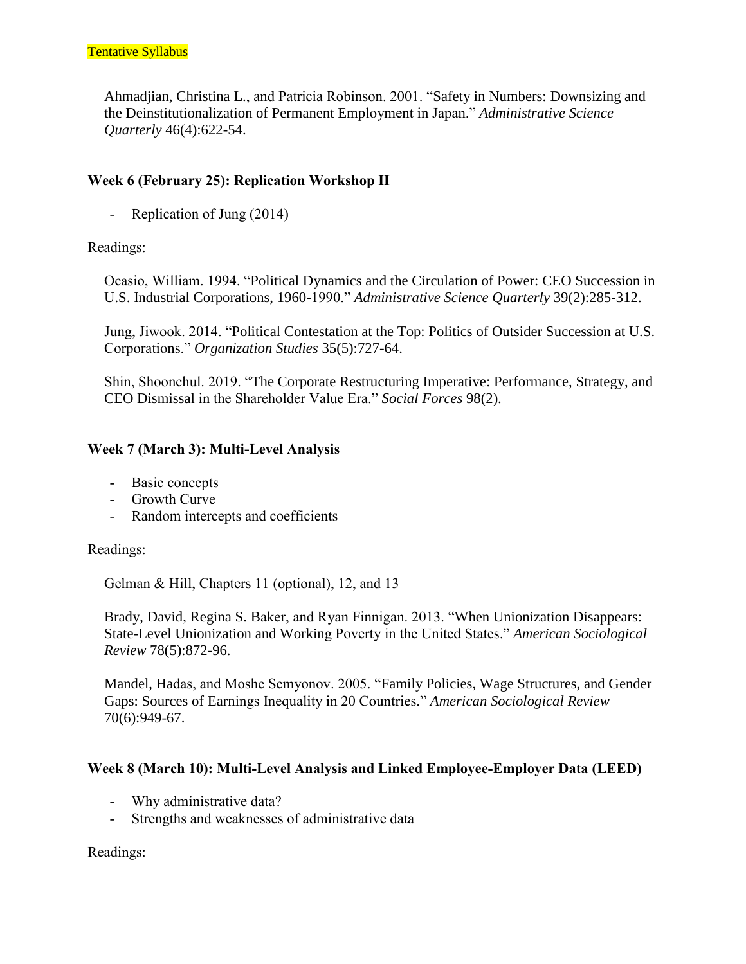Ahmadjian, Christina L., and Patricia Robinson. 2001. "Safety in Numbers: Downsizing and the Deinstitutionalization of Permanent Employment in Japan." *Administrative Science Quarterly* 46(4):622-54.

## **Week 6 (February 25): Replication Workshop II**

- Replication of Jung (2014)

#### Readings:

Ocasio, William. 1994. "Political Dynamics and the Circulation of Power: CEO Succession in U.S. Industrial Corporations, 1960-1990." *Administrative Science Quarterly* 39(2):285-312.

Jung, Jiwook. 2014. "Political Contestation at the Top: Politics of Outsider Succession at U.S. Corporations." *Organization Studies* 35(5):727-64.

Shin, Shoonchul. 2019. "The Corporate Restructuring Imperative: Performance, Strategy, and CEO Dismissal in the Shareholder Value Era." *Social Forces* 98(2).

## **Week 7 (March 3): Multi-Level Analysis**

- Basic concepts
- Growth Curve
- Random intercepts and coefficients

Readings:

Gelman & Hill, Chapters 11 (optional), 12, and 13

Brady, David, Regina S. Baker, and Ryan Finnigan. 2013. "When Unionization Disappears: State-Level Unionization and Working Poverty in the United States." *American Sociological Review* 78(5):872-96.

Mandel, Hadas, and Moshe Semyonov. 2005. "Family Policies, Wage Structures, and Gender Gaps: Sources of Earnings Inequality in 20 Countries." *American Sociological Review* 70(6):949-67.

#### **Week 8 (March 10): Multi-Level Analysis and Linked Employee-Employer Data (LEED)**

- Why administrative data?
- Strengths and weaknesses of administrative data

Readings: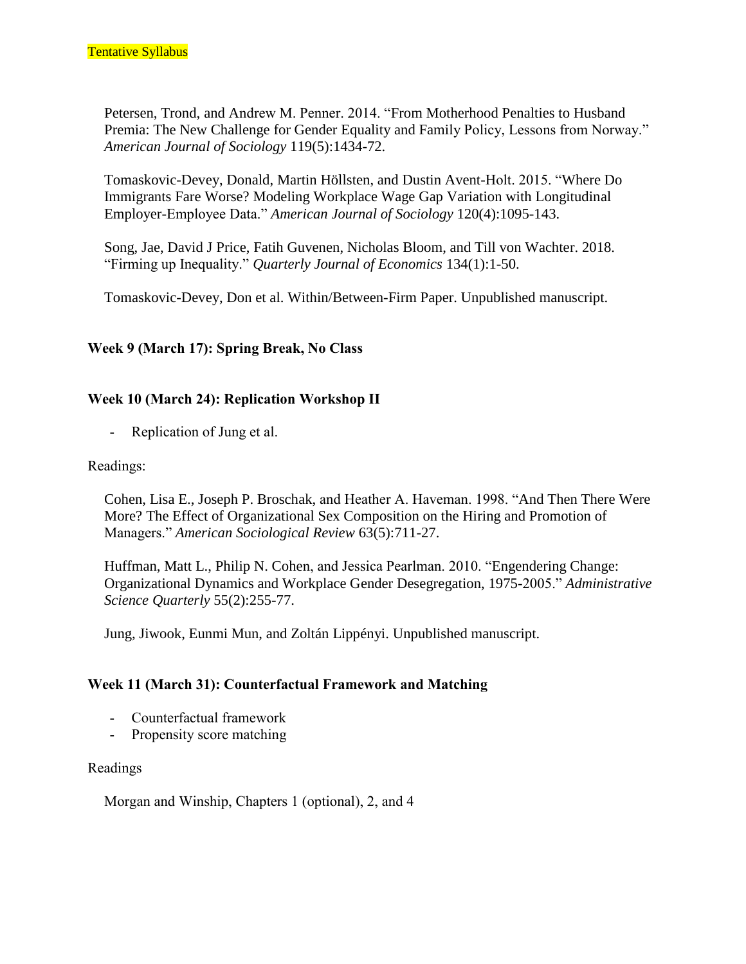Petersen, Trond, and Andrew M. Penner. 2014. "From Motherhood Penalties to Husband Premia: The New Challenge for Gender Equality and Family Policy, Lessons from Norway." *American Journal of Sociology* 119(5):1434-72.

Tomaskovic-Devey, Donald, Martin Höllsten, and Dustin Avent-Holt. 2015. "Where Do Immigrants Fare Worse? Modeling Workplace Wage Gap Variation with Longitudinal Employer-Employee Data." *American Journal of Sociology* 120(4):1095-143.

Song, Jae, David J Price, Fatih Guvenen, Nicholas Bloom, and Till von Wachter. 2018. "Firming up Inequality." *Quarterly Journal of Economics* 134(1):1-50.

Tomaskovic-Devey, Don et al. Within/Between-Firm Paper. Unpublished manuscript.

### **Week 9 (March 17): Spring Break, No Class**

### **Week 10 (March 24): Replication Workshop II**

- Replication of Jung et al.

#### Readings:

Cohen, Lisa E., Joseph P. Broschak, and Heather A. Haveman. 1998. "And Then There Were More? The Effect of Organizational Sex Composition on the Hiring and Promotion of Managers." *American Sociological Review* 63(5):711-27.

Huffman, Matt L., Philip N. Cohen, and Jessica Pearlman. 2010. "Engendering Change: Organizational Dynamics and Workplace Gender Desegregation, 1975-2005." *Administrative Science Quarterly* 55(2):255-77.

Jung, Jiwook, Eunmi Mun, and Zoltán Lippényi. Unpublished manuscript.

#### **Week 11 (March 31): Counterfactual Framework and Matching**

- Counterfactual framework
- Propensity score matching

#### Readings

Morgan and Winship, Chapters 1 (optional), 2, and 4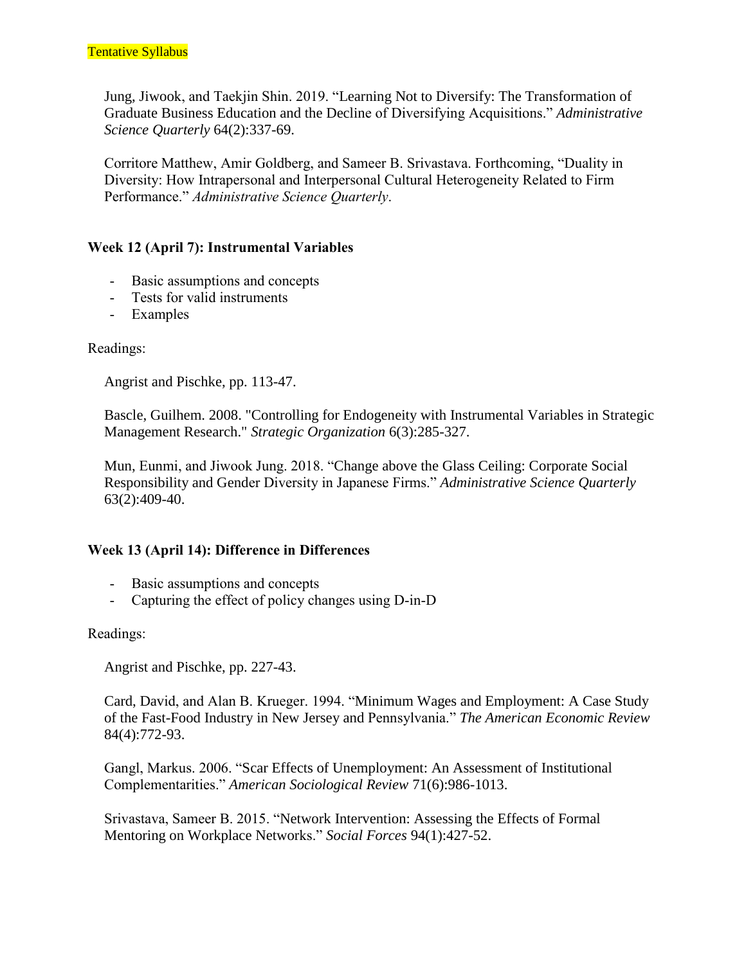Jung, Jiwook, and Taekjin Shin. 2019. "Learning Not to Diversify: The Transformation of Graduate Business Education and the Decline of Diversifying Acquisitions." *Administrative Science Quarterly* 64(2):337-69.

Corritore Matthew, Amir Goldberg, and Sameer B. Srivastava. Forthcoming, "Duality in Diversity: How Intrapersonal and Interpersonal Cultural Heterogeneity Related to Firm Performance." *Administrative Science Quarterly*.

### **Week 12 (April 7): Instrumental Variables**

- Basic assumptions and concepts
- Tests for valid instruments
- Examples

Readings:

Angrist and Pischke, pp. 113-47.

Bascle, Guilhem. 2008. "Controlling for Endogeneity with Instrumental Variables in Strategic Management Research." *Strategic Organization* 6(3):285-327.

Mun, Eunmi, and Jiwook Jung. 2018. "Change above the Glass Ceiling: Corporate Social Responsibility and Gender Diversity in Japanese Firms." *Administrative Science Quarterly* 63(2):409-40.

## **Week 13 (April 14): Difference in Differences**

- Basic assumptions and concepts
- Capturing the effect of policy changes using D-in-D

#### Readings:

Angrist and Pischke, pp. 227-43.

Card, David, and Alan B. Krueger. 1994. "Minimum Wages and Employment: A Case Study of the Fast-Food Industry in New Jersey and Pennsylvania." *The American Economic Review* 84(4):772-93.

Gangl, Markus. 2006. "Scar Effects of Unemployment: An Assessment of Institutional Complementarities." *American Sociological Review* 71(6):986-1013.

Srivastava, Sameer B. 2015. "Network Intervention: Assessing the Effects of Formal Mentoring on Workplace Networks." *Social Forces* 94(1):427-52.